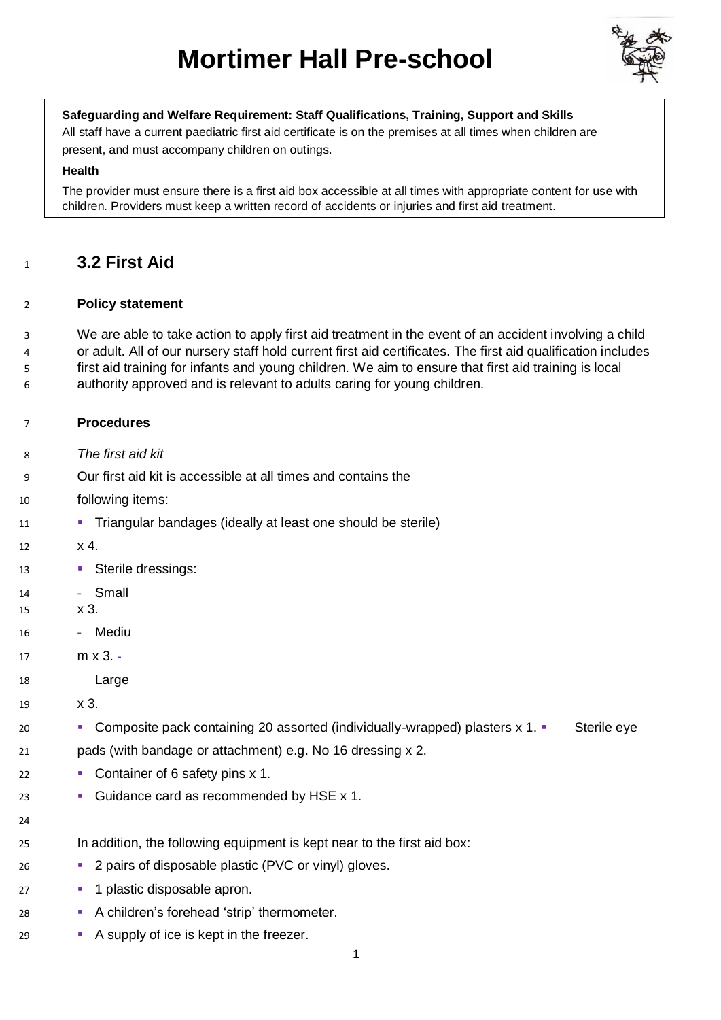

## **Safeguarding and Welfare Requirement: Staff Qualifications, Training, Support and Skills**

All staff have a current paediatric first aid certificate is on the premises at all times when children are present, and must accompany children on outings.

#### **Health**

The provider must ensure there is a first aid box accessible at all times with appropriate content for use with children. Providers must keep a written record of accidents or injuries and first aid treatment.

# **3.2 First Aid**

## **Policy statement**

 We are able to take action to apply first aid treatment in the event of an accident involving a child or adult. All of our nursery staff hold current first aid certificates. The first aid qualification includes first aid training for infants and young children. We aim to ensure that first aid training is local

authority approved and is relevant to adults caring for young children.

# **Procedures**

- *The first aid kit*
- Our first aid kit is accessible at all times and contains the
- following items:
- Triangular bandages (ideally at least one should be sterile)
- x 4.
- 13 Sterile dressings:
- **-** Small
- x 3.
- **-** Mediu
- m x 3. **-**
- Large
- x 3.
- **Example 3** Composite pack containing 20 assorted (individually-wrapped) plasters x 1. Sterile eye pads (with bandage or attachment) e.g. No 16 dressing x 2.
- **Container of 6 safety pins x 1.**
- **· Guidance card as recommended by HSE x 1.**
- 
- In addition, the following equipment is kept near to the first aid box:
- **2 pairs of disposable plastic (PVC or vinyl) gloves.**
- **1 plastic disposable apron.**
- **· A children's forehead 'strip' thermometer.**
- **A supply of ice is kept in the freezer.**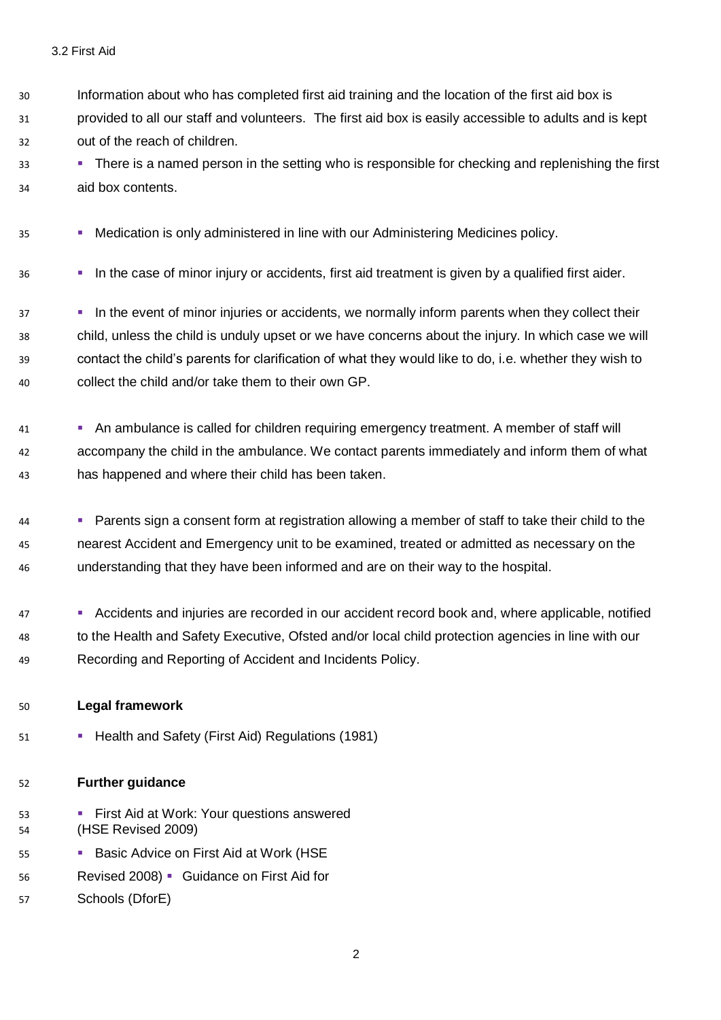- Information about who has completed first aid training and the location of the first aid box is provided to all our staff and volunteers. The first aid box is easily accessible to adults and is kept out of the reach of children.
- **EXECT:** There is a named person in the setting who is responsible for checking and replenishing the first aid box contents.
- **Medication is only administered in line with our Administering Medicines policy.**
- <sup>36</sup> **In the case of minor injury or accidents, first aid treatment is given by a qualified first aider.**
- <sup>37</sup> **In the event of minor injuries or accidents, we normally inform parents when they collect their**  child, unless the child is unduly upset or we have concerns about the injury. In which case we will contact the child's parents for clarification of what they would like to do, i.e. whether they wish to collect the child and/or take them to their own GP.
- <sup>41</sup> An ambulance is called for children requiring emergency treatment. A member of staff will accompany the child in the ambulance. We contact parents immediately and inform them of what has happened and where their child has been taken.
- Parents sign a consent form at registration allowing a member of staff to take their child to the nearest Accident and Emergency unit to be examined, treated or admitted as necessary on the understanding that they have been informed and are on their way to the hospital.
- 47 Accidents and injuries are recorded in our accident record book and, where applicable, notified to the Health and Safety Executive, Ofsted and/or local child protection agencies in line with our Recording and Reporting of Accident and Incidents Policy.

#### **Legal framework**

**• Health and Safety (First Aid) Regulations (1981)** 

## **Further guidance**

- **First Aid at Work: Your questions answered** (HSE Revised 2009)
- 55 Basic Advice on First Aid at Work (HSE
- Revised 2008) Guidance on First Aid for
- Schools (DforE)